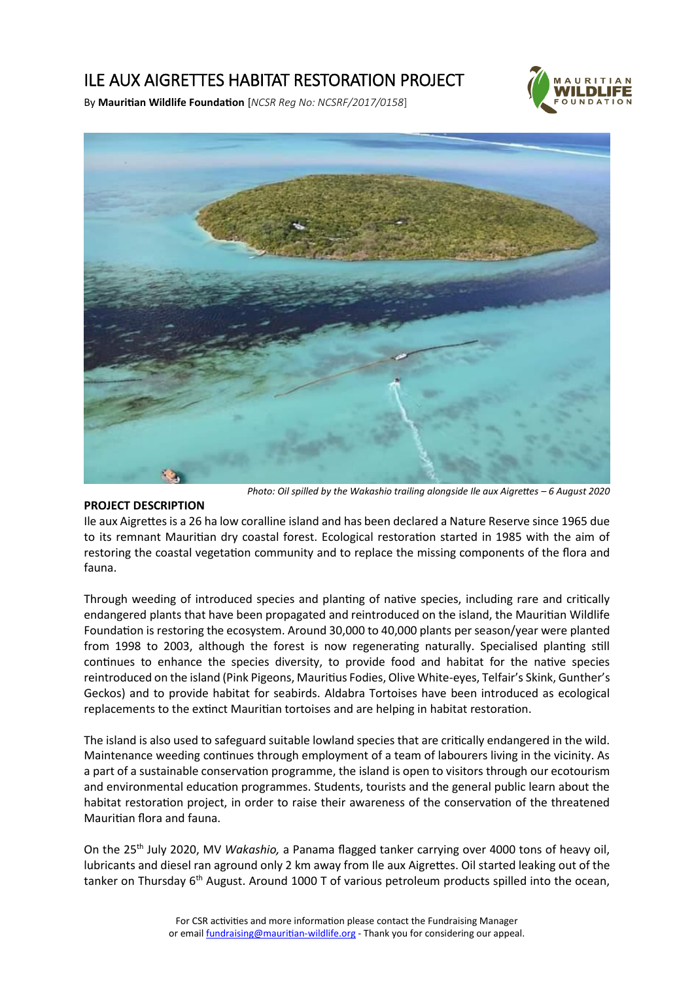# ILE AUX AIGRETTES HABITAT RESTORATION PROJECT



By **Mauritian Wildlife Foundation** [*NCSR Reg No: NCSRF/2017/0158*]



*Photo: Oil spilled by the Wakashio trailing alongside Ile aux Aigrettes – 6 August 2020*

#### **PROJECT DESCRIPTION**

Ile aux Aigrettes is a 26 ha low coralline island and has been declared a Nature Reserve since 1965 due to its remnant Mauritian dry coastal forest. Ecological restoration started in 1985 with the aim of restoring the coastal vegetation community and to replace the missing components of the flora and fauna.

Through weeding of introduced species and planting of native species, including rare and critically endangered plants that have been propagated and reintroduced on the island, the Mauritian Wildlife Foundation is restoring the ecosystem. Around 30,000 to 40,000 plants per season/year were planted from 1998 to 2003, although the forest is now regenerating naturally. Specialised planting still continues to enhance the species diversity, to provide food and habitat for the native species reintroduced on the island (Pink Pigeons, Mauritius Fodies, Olive White-eyes, Telfair's Skink, Gunther's Geckos) and to provide habitat for seabirds. Aldabra Tortoises have been introduced as ecological replacements to the extinct Mauritian tortoises and are helping in habitat restoration.

The island is also used to safeguard suitable lowland species that are critically endangered in the wild. Maintenance weeding continues through employment of a team of labourers living in the vicinity. As a part of a sustainable conservation programme, the island is open to visitors through our ecotourism and environmental education programmes. Students, tourists and the general public learn about the habitat restoration project, in order to raise their awareness of the conservation of the threatened Mauritian flora and fauna.

On the 25th July 2020, MV *Wakashio,* a Panama flagged tanker carrying over 4000 tons of heavy oil, lubricants and diesel ran aground only 2 km away from Ile aux Aigrettes. Oil started leaking out of the tanker on Thursday  $6<sup>th</sup>$  August. Around 1000 T of various petroleum products spilled into the ocean,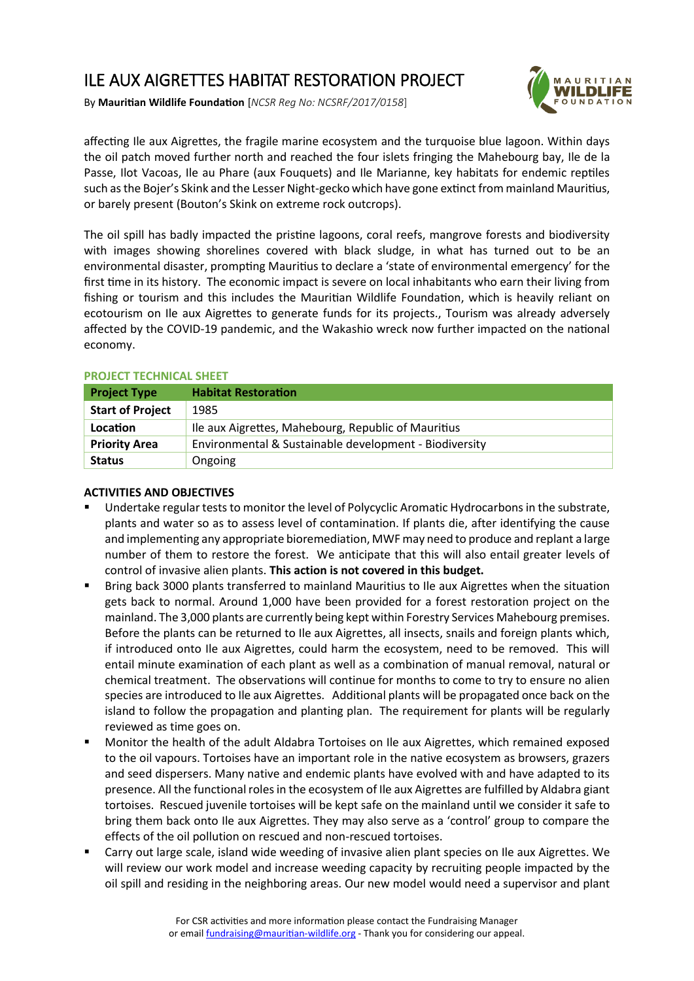# ILE AUX AIGRETTES HABITAT RESTORATION PROJECT



By **Mauritian Wildlife Foundation** [*NCSR Reg No: NCSRF/2017/0158*]

affecting Ile aux Aigrettes, the fragile marine ecosystem and the turquoise blue lagoon. Within days the oil patch moved further north and reached the four islets fringing the Mahebourg bay, Ile de la Passe, Ilot Vacoas, Ile au Phare (aux Fouquets) and Ile Marianne, key habitats for endemic reptiles such as the Bojer's Skink and the Lesser Night-gecko which have gone extinct from mainland Mauritius, or barely present (Bouton's Skink on extreme rock outcrops).

The oil spill has badly impacted the pristine lagoons, coral reefs, mangrove forests and biodiversity with images showing shorelines covered with black sludge, in what has turned out to be an environmental disaster, prompting Mauritius to declare a 'state of environmental emergency' for the first time in its history. The economic impact is severe on local inhabitants who earn their living from fishing or tourism and this includes the Mauritian Wildlife Foundation, which is heavily reliant on ecotourism on Ile aux Aigrettes to generate funds for its projects., Tourism was already adversely affected by the COVID-19 pandemic, and the Wakashio wreck now further impacted on the national economy.

### **PROJECT TECHNICAL SHEET**

| <b>Project Type</b>     | <b>Habitat Restoration</b>                             |
|-------------------------|--------------------------------------------------------|
| <b>Start of Project</b> | 1985                                                   |
| Location                | Ile aux Aigrettes, Mahebourg, Republic of Mauritius    |
| <b>Priority Area</b>    | Environmental & Sustainable development - Biodiversity |
| <b>Status</b>           | Ongoing                                                |

### **ACTIVITIES AND OBJECTIVES**

- Undertake regular tests to monitor the level of Polycyclic Aromatic Hydrocarbons in the substrate, plants and water so as to assess level of contamination. If plants die, after identifying the cause and implementing any appropriate bioremediation, MWF may need to produce and replant a large number of them to restore the forest. We anticipate that this will also entail greater levels of control of invasive alien plants. **This action is not covered in this budget.**
- Bring back 3000 plants transferred to mainland Mauritius to Ile aux Aigrettes when the situation gets back to normal. Around 1,000 have been provided for a forest restoration project on the mainland. The 3,000 plants are currently being kept within Forestry Services Mahebourg premises. Before the plants can be returned to Ile aux Aigrettes, all insects, snails and foreign plants which, if introduced onto Ile aux Aigrettes, could harm the ecosystem, need to be removed. This will entail minute examination of each plant as well as a combination of manual removal, natural or chemical treatment. The observations will continue for months to come to try to ensure no alien species are introduced to Ile aux Aigrettes. Additional plants will be propagated once back on the island to follow the propagation and planting plan. The requirement for plants will be regularly reviewed as time goes on.
- Monitor the health of the adult Aldabra Tortoises on Ile aux Aigrettes, which remained exposed to the oil vapours. Tortoises have an important role in the native ecosystem as browsers, grazers and seed dispersers. Many native and endemic plants have evolved with and have adapted to its presence. All the functional roles in the ecosystem of Ile aux Aigrettes are fulfilled by Aldabra giant tortoises. Rescued juvenile tortoises will be kept safe on the mainland until we consider it safe to bring them back onto Ile aux Aigrettes. They may also serve as a 'control' group to compare the effects of the oil pollution on rescued and non-rescued tortoises.
- Carry out large scale, island wide weeding of invasive alien plant species on Ile aux Aigrettes. We will review our work model and increase weeding capacity by recruiting people impacted by the oil spill and residing in the neighboring areas. Our new model would need a supervisor and plant